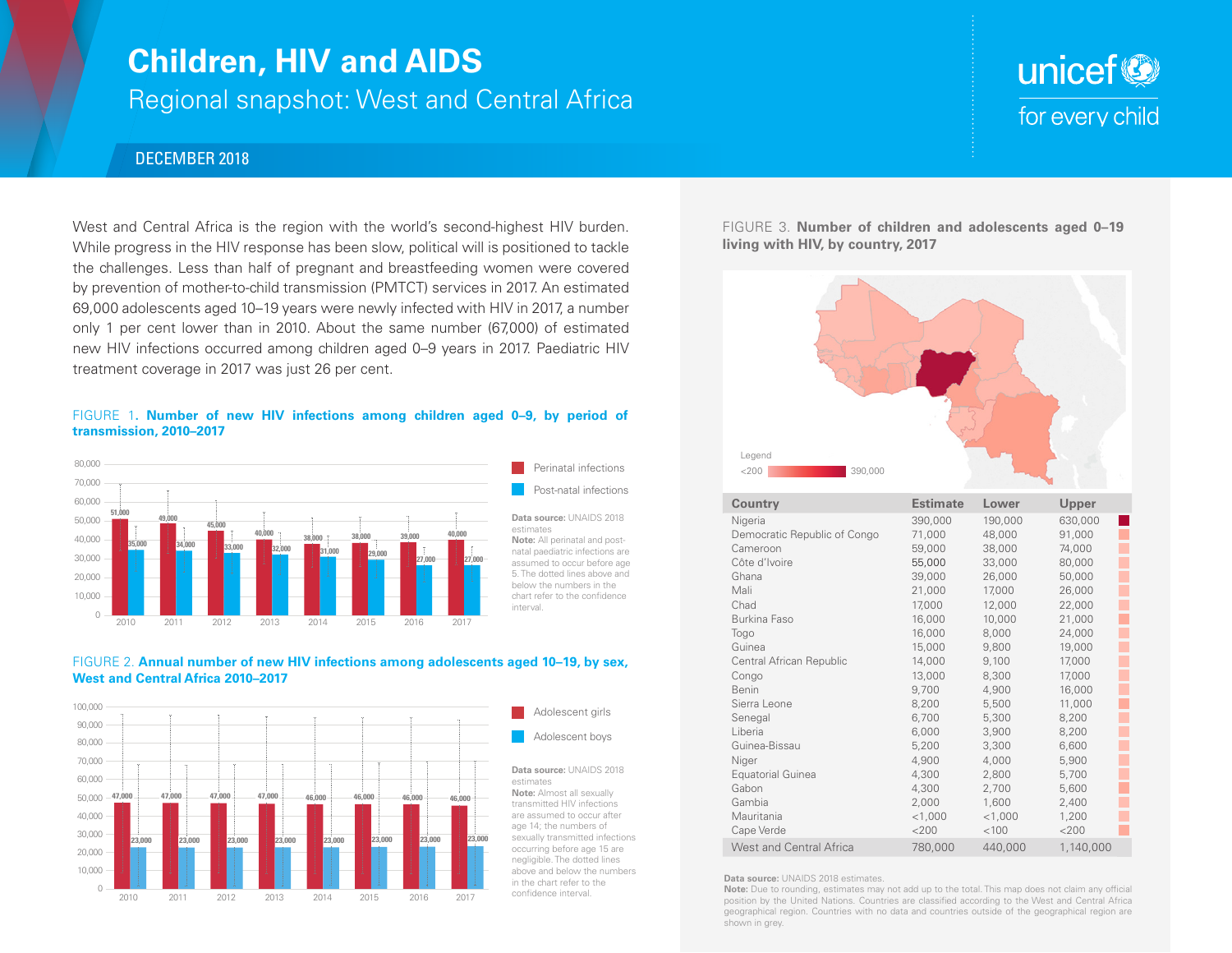## **Children, HIV and AIDS**

Regional snapshot: West and Central Africa

# unicef<sup>®</sup> for every child

## DECEMBER 2018

West and Central Africa is the region with the world's second-highest HIV burden. While progress in the HIV response has been slow, political will is positioned to tackle the challenges. Less than half of pregnant and breastfeeding women were covered by prevention of mother-to-child transmission (PMTCT) services in 2017. An estimated 69,000 adolescents aged 10–19 years were newly infected with HIV in 2017, a number only 1 per cent lower than in 2010. About the same number (67,000) of estimated new HIV infections occurred among children aged 0–9 years in 2017. Paediatric HIV treatment coverage in 2017 was just 26 per cent.

### FIGURE 1**. Number of new HIV infections among children aged 0–9, by period of transmission, 2010–2017**



#### FIGURE 2. **Annual number of new HIV infections among adolescents aged 10–19, by sex, West and Central Africa 2010–2017**



Adolescent girls **Adolescent boys** 

#### **Data source:** UNAIDS 2018 estimates

**Note:** Almost all sexually transmitted HIV infections are assumed to occur after age 14; the numbers of sexually transmitted infections occurring before age 15 are negligible. The dotted lines above and below the numbers in the chart refer to the confidence interval.

FIGURE 3. **Number of children and adolescents aged 0–19 living with HIV, by country, 2017**



| <b>Country</b>                 | <b>Estimate</b> | Lower     | Upper     |
|--------------------------------|-----------------|-----------|-----------|
| Nigeria                        | 390,000         | 190,000   | 630,000   |
| Democratic Republic of Congo   | 71,000          | 48,000    | 91,000    |
| Cameroon                       | 59,000          | 38,000    | 74,000    |
| Côte d'Ivoire                  | 55,000          | 33,000    | 80,000    |
| Ghana                          | 39,000          | 26,000    | 50,000    |
| Mali                           | 21,000          | 17,000    | 26,000    |
| Chad                           | 17,000          | 12,000    | 22,000    |
| Burkina Faso                   | 16,000          | 10,000    | 21,000    |
| Togo                           | 16,000          | 8,000     | 24,000    |
| Guinea                         | 15,000          | 9,800     | 19,000    |
| Central African Republic       | 14,000          | 9,100     | 17,000    |
| Congo                          | 13,000          | 8,300     | 17,000    |
| Benin                          | 9,700           | 4,900     | 16,000    |
| Sierra Leone                   | 8,200           | 5,500     | 11,000    |
| Senegal                        | 6,700           | 5,300     | 8,200     |
| Liberia                        | 6,000           | 3,900     | 8,200     |
| Guinea-Bissau                  | 5,200           | 3,300     | 6,600     |
| Niger                          | 4,900           | 4,000     | 5,900     |
| Equatorial Guinea              | 4,300           | 2,800     | 5,700     |
| Gabon                          | 4,300           | 2,700     | 5,600     |
| Gambia                         | 2,000           | 1,600     | 2,400     |
| Mauritania                     | $<$ 1,000       | $<$ 1,000 | 1,200     |
| Cape Verde                     | $<$ 200         | < 100     | $<$ 200   |
| <b>West and Central Africa</b> | 780,000         | 440,000   | 1,140,000 |

**Data source:** UNAIDS 2018 estimates.

**Note:** Due to rounding, estimates may not add up to the total. This map does not claim any official position by the United Nations. Countries are classified according to the West and Central Africa geographical region. Countries with no data and countries outside of the geographical region are shown in grey.